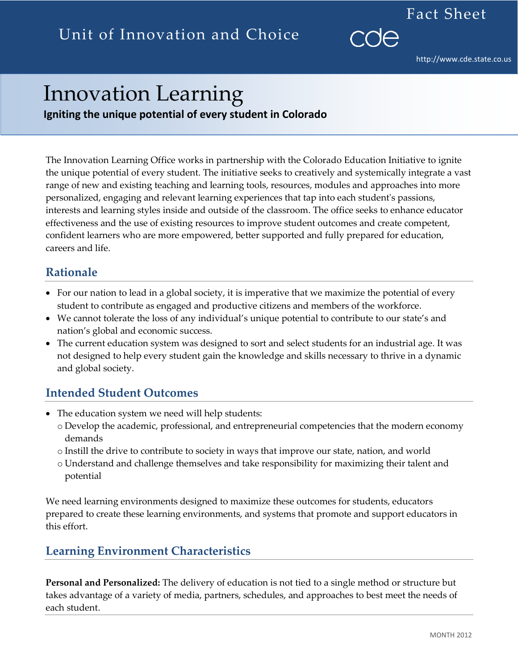http://www.cde.state.co.us

Fact Sheet

# Innovation Learning

**Igniting the unique potential of every student in Colorado**

The Innovation Learning Office works in partnership with the Colorado Education Initiative to ignite the unique potential of every student. The initiative seeks to creatively and systemically integrate a vast range of new and existing teaching and learning tools, resources, modules and approaches into more personalized, engaging and relevant learning experiences that tap into each student's passions, interests and learning styles inside and outside of the classroom. The office seeks to enhance educator effectiveness and the use of existing resources to improve student outcomes and create competent, confident learners who are more empowered, better supported and fully prepared for education, careers and life.

### **Rationale**

- For our nation to lead in a global society, it is imperative that we maximize the potential of every student to contribute as engaged and productive citizens and members of the workforce.
- We cannot tolerate the loss of any individual's unique potential to contribute to our state's and nation's global and economic success.
- The current education system was designed to sort and select students for an industrial age. It was not designed to help every student gain the knowledge and skills necessary to thrive in a dynamic and global society.

### **Intended Student Outcomes**

- The education system we need will help students:
	- o Develop the academic, professional, and entrepreneurial competencies that the modern economy demands
	- o Instill the drive to contribute to society in ways that improve our state, nation, and world
	- o Understand and challenge themselves and take responsibility for maximizing their talent and potential

We need learning environments designed to maximize these outcomes for students, educators prepared to create these learning environments, and systems that promote and support educators in this effort.

## **Learning Environment Characteristics**

**Personal and Personalized:** The delivery of education is not tied to a single method or structure but takes advantage of a variety of media, partners, schedules, and approaches to best meet the needs of each student.